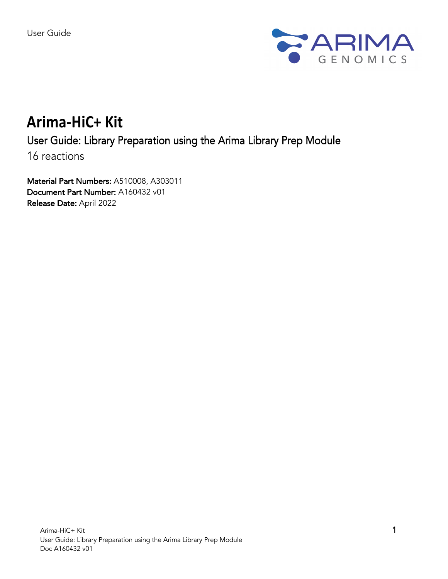

# **Arima-HiC+ Kit**

# User Guide: Library Preparation using the Arima Library Prep Module

16 reactions

Material Part Numbers: A510008, A303011 Document Part Number: A160432 v01 Release Date: April 2022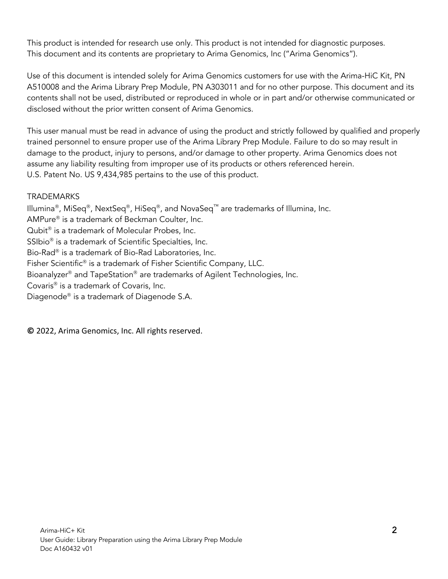This product is intended for research use only. This product is not intended for diagnostic purposes. This document and its contents are proprietary to Arima Genomics, Inc ("Arima Genomics").

Use of this document is intended solely for Arima Genomics customers for use with the Arima-HiC Kit, PN A510008 and the Arima Library Prep Module, PN A303011 and for no other purpose. This document and its contents shall not be used, distributed or reproduced in whole or in part and/or otherwise communicated or disclosed without the prior written consent of Arima Genomics.

This user manual must be read in advance of using the product and strictly followed by qualified and properly trained personnel to ensure proper use of the Arima Library Prep Module. Failure to do so may result in damage to the product, injury to persons, and/or damage to other property. Arima Genomics does not assume any liability resulting from improper use of its products or others referenced herein. U.S. Patent No. US 9,434,985 pertains to the use of this product.

# **TRADEMARKS**

Illumina<sup>®</sup>, MiSeq<sup>®</sup>, NextSeq<sup>®</sup>, HiSeq<sup>®</sup>, and NovaSeq<sup>™</sup> are trademarks of Illumina, Inc.  $AMPure<sup>®</sup>$  is a trademark of Beckman Coulter, Inc. Qubit $<sup>®</sup>$  is a trademark of Molecular Probes, Inc.</sup> SSIbio<sup>®</sup> is a trademark of Scientific Specialties, Inc. Bio-Rad<sup>®</sup> is a trademark of Bio-Rad Laboratories, Inc. Fisher Scientific<sup>®</sup> is a trademark of Fisher Scientific Company, LLC. Bioanalyzer<sup>®</sup> and TapeStation<sup>®</sup> are trademarks of Agilent Technologies, Inc. Covaris<sup>®</sup> is a trademark of Covaris, Inc. Diagenode® is a trademark of Diagenode S.A.

**©** 2022, Arima Genomics, Inc. All rights reserved.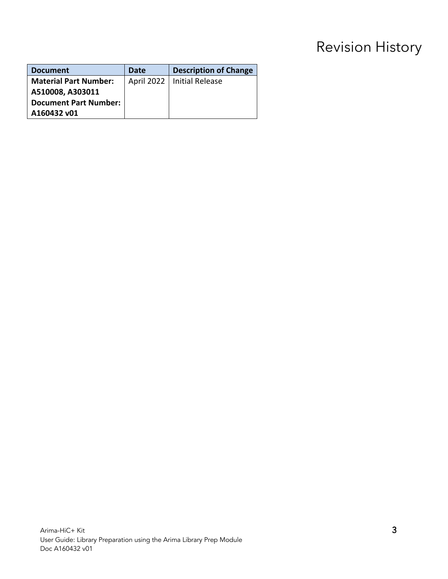# Revision History

| <b>Document</b>              | Date | <b>Description of Change</b> |
|------------------------------|------|------------------------------|
| <b>Material Part Number:</b> |      | April 2022   Initial Release |
| A510008, A303011             |      |                              |
| <b>Document Part Number:</b> |      |                              |
| A160432 v01                  |      |                              |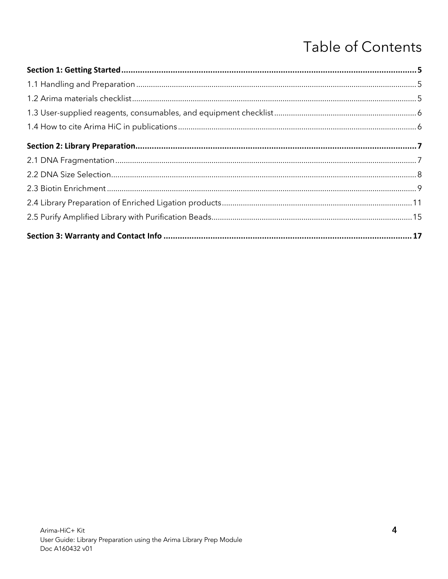# **Table of Contents**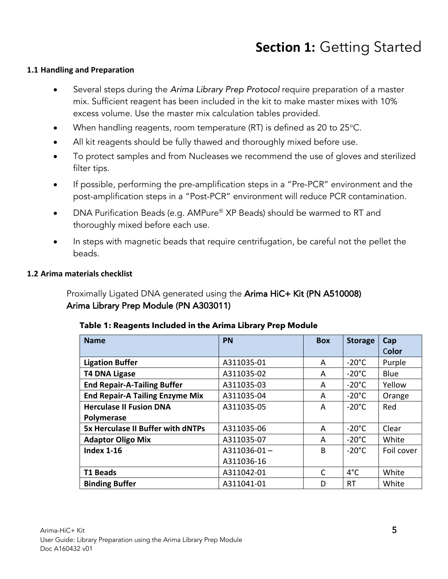# **Section 1:** Getting Started

#### **1.1 Handling and Preparation**

- Several steps during the *Arima Library Prep Protocol* require preparation of a master mix. Sufficient reagent has been included in the kit to make master mixes with 10% excess volume. Use the master mix calculation tables provided.
- When handling reagents, room temperature (RT) is defined as 20 to 25 °C.
- All kit reagents should be fully thawed and thoroughly mixed before use.
- To protect samples and from Nucleases we recommend the use of gloves and sterilized filter tips.
- If possible, performing the pre-amplification steps in a "Pre-PCR" environment and the post-amplification steps in a "Post-PCR" environment will reduce PCR contamination.
- DNA Purification Beads (e.g. AMPure<sup>®</sup> XP Beads) should be warmed to RT and thoroughly mixed before each use.
- In steps with magnetic beads that require centrifugation, be careful not the pellet the beads.

#### **1.2 Arima materials checklist**

 Proximally Ligated DNA generated using the Arima HiC+ Kit (PN A510008) Arima Library Prep Module (PN A303011)

| Table 1: Reagents Included in the Arima Library Prep Module |  |  |  |
|-------------------------------------------------------------|--|--|--|
|-------------------------------------------------------------|--|--|--|

| <b>Name</b>                              | <b>PN</b>     | <b>Box</b>           | <b>Storage</b>  | Cap        |  |
|------------------------------------------|---------------|----------------------|-----------------|------------|--|
|                                          |               |                      |                 | Color      |  |
| <b>Ligation Buffer</b>                   | A311035-01    | A                    | $-20^{\circ}$ C | Purple     |  |
| <b>T4 DNA Ligase</b>                     | A311035-02    | A                    | $-20^{\circ}$ C | Blue       |  |
| <b>End Repair-A-Tailing Buffer</b>       | A311035-03    | A                    | $-20^{\circ}$ C | Yellow     |  |
| <b>End Repair-A Tailing Enzyme Mix</b>   | A311035-04    | $-20^{\circ}$ C<br>A |                 | Orange     |  |
| <b>Herculase II Fusion DNA</b>           | A311035-05    | $-20^{\circ}$ C<br>A |                 | Red        |  |
| Polymerase                               |               |                      |                 |            |  |
| <b>5x Herculase II Buffer with dNTPs</b> | A311035-06    | A                    | $-20^{\circ}$ C | Clear      |  |
| <b>Adaptor Oligo Mix</b>                 | A311035-07    | A                    | $-20^{\circ}$ C | White      |  |
| <b>Index 1-16</b>                        | $A311036-01-$ | B                    | $-20^{\circ}$ C | Foil cover |  |
|                                          | A311036-16    |                      |                 |            |  |
| <b>T1 Beads</b>                          | A311042-01    | $\mathsf{C}$         | $4^{\circ}$ C   | White      |  |
| <b>Binding Buffer</b>                    | A311041-01    | D                    | <b>RT</b>       | White      |  |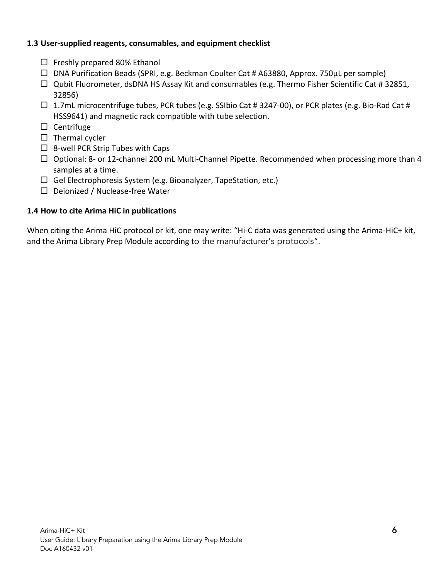#### **1.3 User-supplied reagents, consumables, and equipment checklist**

- $\square$  Freshly prepared 80% Ethanol
- $\Box$  DNA Purification Beads (SPRI, e.g. Beckman Coulter Cat # A63880, Approx. 750 $\mu$ L per sample)
- $\Box$  Qubit Fluorometer, dsDNA HS Assay Kit and consumables (e.g. Thermo Fisher Scientific Cat # 32851, 32856)
- $\Box$  1.7mL microcentrifuge tubes, PCR tubes (e.g. SSIbio Cat # 3247-00), or PCR plates (e.g. Bio-Rad Cat # HSS9641) and magnetic rack compatible with tube selection.
- $\square$  Centrifuge
- $\square$  Thermal cycler
- $\Box$  8-well PCR Strip Tubes with Caps
- $\Box$  Optional: 8- or 12-channel 200 mL Multi-Channel Pipette. Recommended when processing more than 4 samples at a time.
- $\Box$  Gel Electrophoresis System (e.g. Bioanalyzer, TapeStation, etc.)
- $\square$  Deionized / Nuclease-free Water

# **1.4 How to cite Arima HiC in publications**

When citing the Arima HiC protocol or kit, one may write: "Hi-C data was generated using the Arima-HiC+ kit, and the Arima Library Prep Module according to the manufacturer's protocols".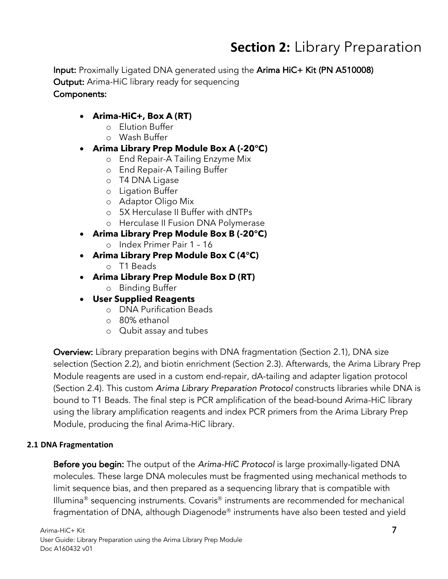# **Section 2:** Library Preparation

Input: Proximally Ligated DNA generated using the Arima HiC+ Kit (PN A510008) **Output:** Arima-HiC library ready for sequencing Components:

# • **Arima-HiC+, Box A (RT)**

- o Elution Buffer
- o Wash Buffer
- **Arima Library Prep Module Box A (-20°C)**
	- o End Repair-A Tailing Enzyme Mix
	- o End Repair-A Tailing Buffer
	- o T4 DNA Ligase
	- o Ligation Buffer
	- o Adaptor Oligo Mix
	- o 5X Herculase II Buffer with dNTPs
	- o Herculase II Fusion DNA Polymerase
- **Arima Library Prep Module Box B (-20°C)**
	- o Index Primer Pair 1 16
- **Arima Library Prep Module Box C (4°C)**  o T1 Beads
- **Arima Library Prep Module Box D (RT)** 
	- o Binding Buffer
- **User Supplied Reagents**
	- o DNA Purification Beads
	- o 80% ethanol
	- o Qubit assay and tubes

Overview: Library preparation begins with DNA fragmentation (Section 2.1), DNA size selection (Section 2.2), and biotin enrichment (Section 2.3). Afterwards, the Arima Library Prep Module reagents are used in a custom end-repair, dA-tailing and adapter ligation protocol (Section 2.4). This custom *Arima Library Preparation Protocol* constructs libraries while DNA is bound to T1 Beads. The final step is PCR amplification of the bead-bound Arima-HiC library using the library amplification reagents and index PCR primers from the Arima Library Prep Module, producing the final Arima-HiC library.

#### **2.1 DNA Fragmentation**

Before you begin: The output of the *Arima-HiC Protocol* is large proximally-ligated DNA molecules. These large DNA molecules must be fragmented using mechanical methods to limit sequence bias, and then prepared as a sequencing library that is compatible with Illumina<sup>®</sup> sequencing instruments. Covaris<sup>®</sup> instruments are recommended for mechanical fragmentation of DNA, although Diagenode® instruments have also been tested and yield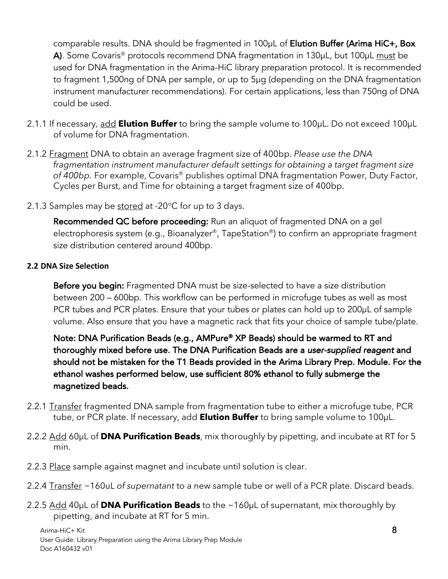comparable results. DNA should be fragmented in 100µL of **Elution Buffer (Arima HiC+, Box** A). Some Covaris<sup>®</sup> protocols recommend DNA fragmentation in 130 $\mu$ L, but 100 $\mu$ L must be used for DNA fragmentation in the Arima-HiC library preparation protocol. It is recommended to fragment 1,500ng of DNA per sample, or up to 5µg (depending on the DNA fragmentation instrument manufacturer recommendations). For certain applications, less than 750ng of DNA could be used.

- 2.1.1 If necessary, add **Elution Buffer** to bring the sample volume to 100µL. Do not exceed 100µL of volume for DNA fragmentation.
- 2.1.2 Fragment DNA to obtain an average fragment size of 400bp. *Please use the DNA fragmentation instrument manufacturer default settings for obtaining a target fragment size*  of 400bp. For example, Covaris<sup>®</sup> publishes optimal DNA fragmentation Power, Duty Factor, Cycles per Burst, and Time for obtaining a target fragment size of 400bp.
- 2.1.3 Samples may be stored at -20°C for up to 3 days.

Recommended QC before proceeding: Run an aliquot of fragmented DNA on a gel electrophoresis system (e.g., Bioanalyzer®, TapeStation®) to confirm an appropriate fragment size distribution centered around 400bp.

### **2.2 DNA Size Selection**

Before you begin: Fragmented DNA must be size-selected to have a size distribution between 200 – 600bp. This workflow can be performed in microfuge tubes as well as most PCR tubes and PCR plates. Ensure that your tubes or plates can hold up to 200µL of sample volume. Also ensure that you have a magnetic rack that fits your choice of sample tube/plate.

Note: DNA Purification Beads (e.g., AMPure® XP Beads) should be warmed to RT and thoroughly mixed before use. The DNA Purification Beads are a *user-supplied reagent* and should not be mistaken for the T1 Beads provided in the Arima Library Prep. Module. For the ethanol washes performed below, use sufficient 80% ethanol to fully submerge the magnetized beads.

- 2.2.1 Transfer fragmented DNA sample from fragmentation tube to either a microfuge tube, PCR tube, or PCR plate. If necessary, add **Elution Buffer** to bring sample volume to 100µL.
- 2.2.2 Add 60µL of **DNA Purification Beads**, mix thoroughly by pipetting, and incubate at RT for 5 min.
- 2.2.3 Place sample against magnet and incubate until solution is clear.
- 2.2.4 Transfer ~160uL *of supernatant* to a new sample tube or well of a PCR plate. Discard beads.
- 2.2.5 Add 40µL of **DNA Purification Beads** to the ~160µL of supernatant, mix thoroughly by pipetting, and incubate at RT for 5 min.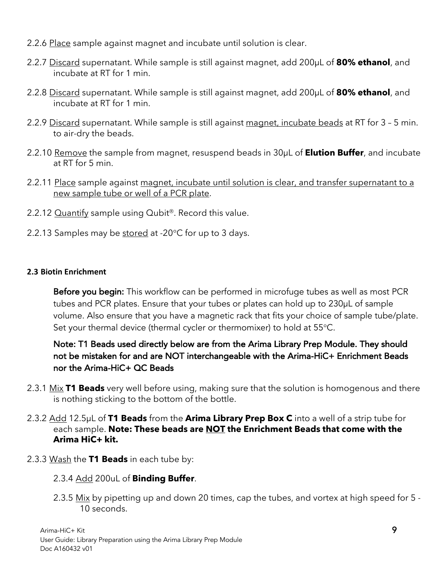- 2.2.6 Place sample against magnet and incubate until solution is clear.
- 2.2.7 Discard supernatant. While sample is still against magnet, add 200µL of **80% ethanol**, and incubate at RT for 1 min.
- 2.2.8 Discard supernatant. While sample is still against magnet, add 200µL of **80% ethanol**, and incubate at RT for 1 min.
- 2.2.9 Discard supernatant. While sample is still against magnet, incubate beads at RT for 3 5 min. to air-dry the beads.
- 2.2.10 Remove the sample from magnet, resuspend beads in 30µL of **Elution Buffer**, and incubate at RT for 5 min.
- 2.2.11 Place sample against magnet, incubate until solution is clear, and transfer supernatant to a new sample tube or well of a PCR plate.
- 2.2.12 Quantify sample using Qubit<sup>®</sup>. Record this value.
- 2.2.13 Samples may be stored at -20°C for up to 3 days.

# **2.3 Biotin Enrichment**

Before you begin: This workflow can be performed in microfuge tubes as well as most PCR tubes and PCR plates. Ensure that your tubes or plates can hold up to 230µL of sample volume. Also ensure that you have a magnetic rack that fits your choice of sample tube/plate. Set your thermal device (thermal cycler or thermomixer) to hold at 55°C.

# Note: T1 Beads used directly below are from the Arima Library Prep Module. They should not be mistaken for and are NOT interchangeable with the Arima-HiC+ Enrichment Beads nor the Arima-HiC+ QC Beads

- 2.3.1 Mix **T1 Beads** very well before using, making sure that the solution is homogenous and there is nothing sticking to the bottom of the bottle.
- 2.3.2 Add 12.5µL of **T1 Beads** from the **Arima Library Prep Box C** into a well of a strip tube for each sample. **Note: These beads are NOT the Enrichment Beads that come with the Arima HiC+ kit.**
- 2.3.3 Wash the **T1 Beads** in each tube by:
	- 2.3.4 Add 200uL of **Binding Buffer**.
	- 2.3.5 Mix by pipetting up and down 20 times, cap the tubes, and vortex at high speed for 5 -10 seconds.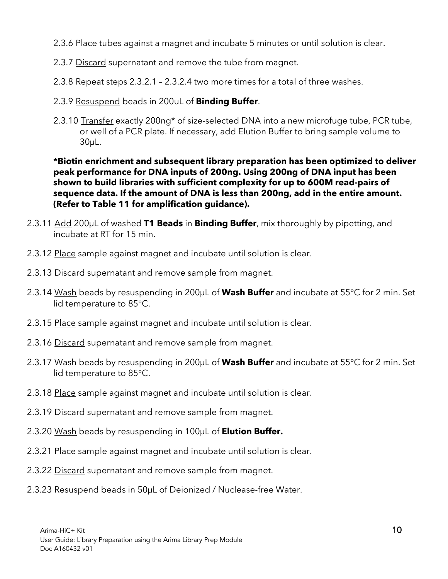- 2.3.6 Place tubes against a magnet and incubate 5 minutes or until solution is clear.
- 2.3.7 Discard supernatant and remove the tube from magnet.
- 2.3.8 Repeat steps 2.3.2.1 2.3.2.4 two more times for a total of three washes.
- 2.3.9 Resuspend beads in 200uL of **Binding Buffer**.
- 2.3.10 Transfer exactly 200ng<sup>\*</sup> of size-selected DNA into a new microfuge tube, PCR tube, or well of a PCR plate. If necessary, add Elution Buffer to bring sample volume to 30µL.

**\*Biotin enrichment and subsequent library preparation has been optimized to deliver peak performance for DNA inputs of 200ng. Using 200ng of DNA input has been shown to build libraries with sufficient complexity for up to 600M read-pairs of sequence data. If the amount of DNA is less than 200ng, add in the entire amount. (Refer to Table 11 for amplification guidance).**

- 2.3.11 Add 200µL of washed **T1 Beads** in **Binding Buffer**, mix thoroughly by pipetting, and incubate at RT for 15 min.
- 2.3.12 Place sample against magnet and incubate until solution is clear.
- 2.3.13 Discard supernatant and remove sample from magnet.
- 2.3.14 Wash beads by resuspending in 200µL of **Wash Buffer** and incubate at 55°C for 2 min. Set lid temperature to 85°C.
- 2.3.15 Place sample against magnet and incubate until solution is clear.
- 2.3.16 Discard supernatant and remove sample from magnet.
- 2.3.17 Wash beads by resuspending in 200µL of **Wash Buffer** and incubate at 55°C for 2 min. Set lid temperature to 85°C.
- 2.3.18 Place sample against magnet and incubate until solution is clear.
- 2.3.19 Discard supernatant and remove sample from magnet.
- 2.3.20 Wash beads by resuspending in 100µL of **Elution Buffer.**
- 2.3.21 Place sample against magnet and incubate until solution is clear.
- 2.3.22 Discard supernatant and remove sample from magnet.
- 2.3.23 Resuspend beads in 50µL of Deionized / Nuclease-free Water.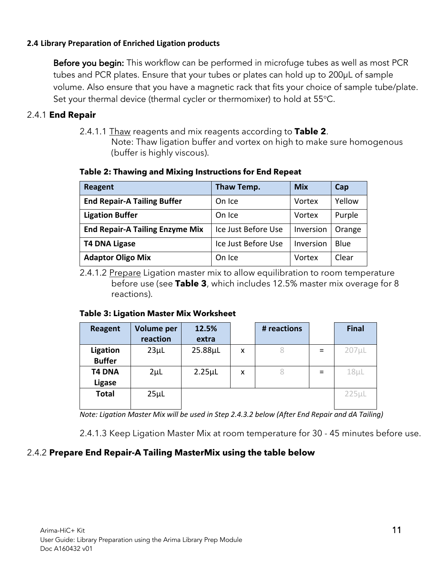#### **2.4 Library Preparation of Enriched Ligation products**

Before you begin: This workflow can be performed in microfuge tubes as well as most PCR tubes and PCR plates. Ensure that your tubes or plates can hold up to 200µL of sample volume. Also ensure that you have a magnetic rack that fits your choice of sample tube/plate. Set your thermal device (thermal cycler or thermomixer) to hold at 55°C.

# 2.4.1 **End Repair**

2.4.1.1 Thaw reagents and mix reagents according to **Table 2**. Note: Thaw ligation buffer and vortex on high to make sure homogenous (buffer is highly viscous).

| <b>Reagent</b>                         | Thaw Temp.          | <b>Mix</b> | Cap    |
|----------------------------------------|---------------------|------------|--------|
| <b>End Repair-A Tailing Buffer</b>     | On Ice              | Vortex     | Yellow |
| <b>Ligation Buffer</b>                 | On Ice              | Vortex     | Purple |
| <b>End Repair-A Tailing Enzyme Mix</b> | Ice Just Before Use | Inversion  | Orange |
| <b>T4 DNA Ligase</b>                   | Ice Just Before Use | Inversion  | Blue   |
| <b>Adaptor Oligo Mix</b>               | On Ice              | Vortex     | Clear  |

#### **Table 2: Thawing and Mixing Instructions for End Repeat**

2.4.1.2 Prepare Ligation master mix to allow equilibration to room temperature before use (see **Table 3**, which includes 12.5% master mix overage for 8 reactions).

#### **Table 3: Ligation Master Mix Worksheet**

| <b>Reagent</b> | Volume per | 12.5%        |   | # reactions |          | <b>Final</b> |
|----------------|------------|--------------|---|-------------|----------|--------------|
|                | reaction   | extra        |   |             |          |              |
| Ligation       | $23\mu$ L  | 25.88µL      | X |             | $\equiv$ | $207 \mu L$  |
| <b>Buffer</b>  |            |              |   |             |          |              |
| <b>T4 DNA</b>  | $2\mu$ L   | $2.25 \mu L$ | X |             | $\equiv$ | $18\mu$ L    |
| <b>Ligase</b>  |            |              |   |             |          |              |
| <b>Total</b>   | $25\mu$ L  |              |   |             |          | $225\mu$     |
|                |            |              |   |             |          |              |

*Note: Ligation Master Mix will be used in Step 2.4.3.2 below (After End Repair and dA Tailing)*

2.4.1.3 Keep Ligation Master Mix at room temperature for 30 - 45 minutes before use.

# 2.4.2 **Prepare End Repair-A Tailing MasterMix using the table below**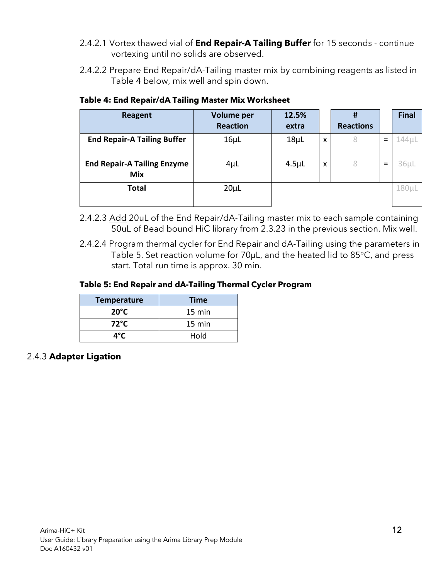- 2.4.2.1 Vortex thawed vial of **End Repair-A Tailing Buffer** for 15 seconds continue vortexing until no solids are observed.
- 2.4.2.2 Prepare End Repair/dA-Tailing master mix by combining reagents as listed in Table 4 below, mix well and spin down.

| Reagent                                          | <b>Volume per</b><br><b>Reaction</b> | 12.5%<br>extra |                           | #<br><b>Reactions</b> |   | <b>Final</b> |
|--------------------------------------------------|--------------------------------------|----------------|---------------------------|-----------------------|---|--------------|
| <b>End Repair-A Tailing Buffer</b>               | $16\mu$ L                            | $18\mu$ L      | X                         | 8                     | = | $144 \mu L$  |
| <b>End Repair-A Tailing Enzyme</b><br><b>Mix</b> | $4\mu$ L                             | $4.5\mu$ L     | $\boldsymbol{\mathsf{x}}$ | 8                     | = | $36\mu$ L    |
| <b>Total</b>                                     | $20\mu L$                            |                |                           |                       |   | 180µL        |

# **Table 4: End Repair/dA Tailing Master Mix Worksheet**

- 2.4.2.3 Add 20uL of the End Repair/dA-Tailing master mix to each sample containing 50uL of Bead bound HiC library from 2.3.23 in the previous section. Mix well.
- 2.4.2.4 Program thermal cycler for End Repair and dA-Tailing using the parameters in Table 5. Set reaction volume for 70µL, and the heated lid to 85°C, and press start. Total run time is approx. 30 min.

# **Table 5: End Repair and dA-Tailing Thermal Cycler Program**

| <b>Temperature</b> | <b>Time</b> |
|--------------------|-------------|
| $20^{\circ}$ C     | 15 min      |
| $72^{\circ}$ C     | 15 min      |
| ⊿°C                | Hold        |

# 2.4.3 **Adapter Ligation**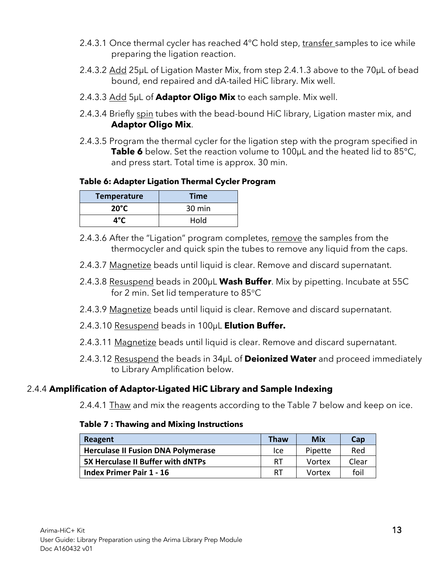- 2.4.3.1 Once thermal cycler has reached 4°C hold step, transfer samples to ice while preparing the ligation reaction.
- 2.4.3.2 Add 25µL of Ligation Master Mix, from step 2.4.1.3 above to the 70µL of bead bound, end repaired and dA-tailed HiC library. Mix well.
- 2.4.3.3 Add 5µL of **Adaptor Oligo Mix** to each sample. Mix well.
- 2.4.3.4 Briefly spin tubes with the bead-bound HiC library, Ligation master mix, and **Adaptor Oligo Mix**.
- 2.4.3.5 Program the thermal cycler for the ligation step with the program specified in **Table 6** below. Set the reaction volume to 100µL and the heated lid to 85°C, and press start. Total time is approx. 30 min.

# **Table 6: Adapter Ligation Thermal Cycler Program**

| <b>Temperature</b> | <b>Time</b> |
|--------------------|-------------|
| $20^{\circ}$ C     | 30 min      |
| ⊿°C                | Hold        |

- 2.4.3.6 After the "Ligation" program completes, remove the samples from the thermocycler and quick spin the tubes to remove any liquid from the caps.
- 2.4.3.7 Magnetize beads until liquid is clear. Remove and discard supernatant.
- 2.4.3.8 Resuspend beads in 200µL **Wash Buffer**. Mix by pipetting. Incubate at 55C for 2 min. Set lid temperature to 85°C
- 2.4.3.9 Magnetize beads until liquid is clear. Remove and discard supernatant.
- 2.4.3.10 Resuspend beads in 100µL **Elution Buffer.**
- 2.4.3.11 Magnetize beads until liquid is clear. Remove and discard supernatant.
- 2.4.3.12 Resuspend the beads in 34µL of **Deionized Water** and proceed immediately to Library Amplification below.

# 2.4.4 **Amplification of Adaptor-Ligated HiC Library and Sample Indexing**

2.4.4.1 Thaw and mix the reagents according to the Table 7 below and keep on ice.

# **Table 7 : Thawing and Mixing Instructions**

| Reagent                                   | Thaw | <b>Mix</b> | Cap   |
|-------------------------------------------|------|------------|-------|
| <b>Herculase II Fusion DNA Polymerase</b> | Ice  | Pipette    | Red   |
| <b>5X Herculase II Buffer with dNTPs</b>  | -RT  | Vortex     | Clear |
| <b>Index Primer Pair 1 - 16</b>           | RT   | Vortex     | foil  |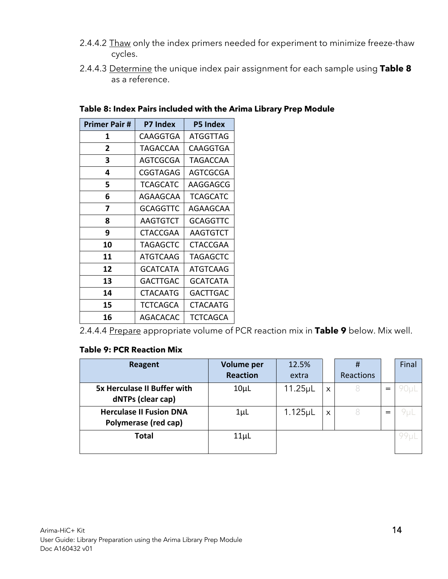- 2.4.4.2 Thaw only the index primers needed for experiment to minimize freeze-thaw cycles.
- 2.4.4.3 Determine the unique index pair assignment for each sample using **Table 8** as a reference.

| <b>Primer Pair #</b> | <b>P7 Index</b> | <b>P5 Index</b> |
|----------------------|-----------------|-----------------|
| 1                    | CAAGGTGA        | ATGGTTAG        |
| $\mathbf{2}$         | TAGACCAA        | CAAGGTGA        |
| 3                    | AGTCGCGA        | TAGACCAA        |
| 4                    | CGGTAGAG        | AGTCGCGA        |
| 5                    | <b>TCAGCATC</b> | AAGGAGCG        |
| 6                    | AGAAGCAA        | TCAGCATC        |
| 7                    | GCAGGTTC        | AGAAGCAA        |
| 8                    | AAGTGTCT        | GCAGGTTC        |
| 9                    | CTACCGAA        | AAGTGTCT        |
| 10                   | TAGAGCTC        | CTACCGAA        |
| 11                   | <b>ATGTCAAG</b> | <b>TAGAGCTC</b> |
| 12                   | GCATCATA        | ATGTCAAG        |
| 13                   | GACTTGAC        | GCATCATA        |
| 14                   | CTACAATG        | GACTTGAC        |
| 15                   | TCTCAGCA        | CTACAATG        |
| 16                   | AGACACAC        | <b>TCTCAGCA</b> |

#### **Table 8: Index Pairs included with the Arima Library Prep Module**

2.4.4.4 Prepare appropriate volume of PCR reaction mix in **Table 9** below. Mix well.

# **Table 9: PCR Reaction Mix**

| Reagent                            | <b>Volume per</b> | 12.5%                |   | #         |          | Final |
|------------------------------------|-------------------|----------------------|---|-----------|----------|-------|
|                                    | <b>Reaction</b>   | extra                |   | Reactions |          |       |
| <b>5x Herculase II Buffer with</b> | $10\mu$ L         | 11.25 <sub>µ</sub> L | X |           |          |       |
| dNTPs (clear cap)                  |                   |                      |   |           |          |       |
| <b>Herculase II Fusion DNA</b>     | $1 \mu L$         | 1.125 <sub>µ</sub>   | X |           | $\equiv$ |       |
| Polymerase (red cap)               |                   |                      |   |           |          |       |
| <b>Total</b>                       | $11\mu$ L         |                      |   |           |          |       |
|                                    |                   |                      |   |           |          |       |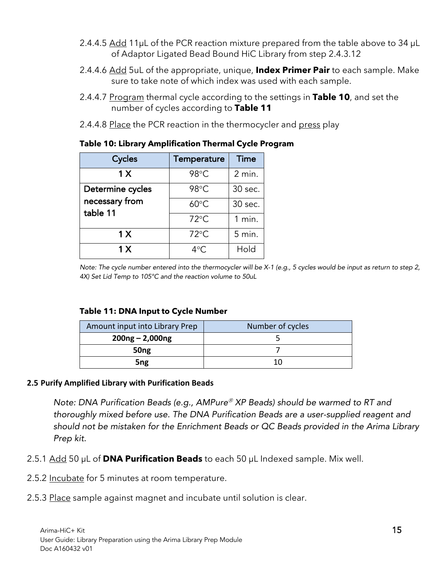- 2.4.4.5 Add 11 $\mu$ L of the PCR reaction mixture prepared from the table above to 34  $\mu$ L of Adaptor Ligated Bead Bound HiC Library from step 2.4.3.12
- 2.4.4.6 Add 5uL of the appropriate, unique, **Index Primer Pair** to each sample. Make sure to take note of which index was used with each sample.
- 2.4.4.7 Program thermal cycle according to the settings in **Table 10**, and set the number of cycles according to **Table 11**
- 2.4.4.8 Place the PCR reaction in the thermocycler and press play

| Cycles                                         | Temperature    | <b>Time</b> |
|------------------------------------------------|----------------|-------------|
| 1 X                                            | 98°C           | 2 min.      |
| Determine cycles<br>necessary from<br>table 11 | 98°C           | 30 sec.     |
|                                                | $60^{\circ}$ C | 30 sec.     |
|                                                | $72^{\circ}$ C | $1$ min.    |
| 1X                                             | $72^{\circ}$ C | 5 min.      |
| 1 <sub>X</sub>                                 | $4^{\circ}$ C. | Hold        |

### **Table 10: Library Amplification Thermal Cycle Program**

*Note: The cycle number entered into the thermocycler will be X-1 (e.g., 5 cycles would be input as return to step 2, 4X) Set Lid Temp to 105°C and the reaction volume to 50uL*

#### **Table 11: DNA Input to Cycle Number**

| Amount input into Library Prep | Number of cycles |  |
|--------------------------------|------------------|--|
| $200ng - 2,000ng$              |                  |  |
| 50 <sub>ng</sub>               |                  |  |
| 5 <sub>ng</sub>                | 10               |  |

#### **2.5 Purify Amplified Library with Purification Beads**

*Note: DNA Purification Beads (e.g., AMPure<sup>®</sup> XP Beads) should be warmed to RT and thoroughly mixed before use. The DNA Purification Beads are a user-supplied reagent and should not be mistaken for the Enrichment Beads or QC Beads provided in the Arima Library Prep kit.*

- 2.5.1 Add 50 µL of **DNA Purification Beads** to each 50 µL Indexed sample. Mix well.
- 2.5.2 Incubate for 5 minutes at room temperature.
- 2.5.3 Place sample against magnet and incubate until solution is clear.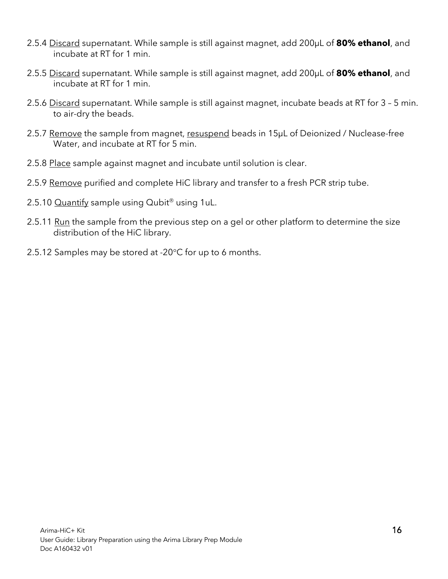- 2.5.4 Discard supernatant. While sample is still against magnet, add 200µL of **80% ethanol**, and incubate at RT for 1 min.
- 2.5.5 Discard supernatant. While sample is still against magnet, add 200µL of **80% ethanol**, and incubate at RT for 1 min.
- 2.5.6 Discard supernatant. While sample is still against magnet, incubate beads at RT for 3 5 min. to air-dry the beads.
- 2.5.7 Remove the sample from magnet, resuspend beads in 15µL of Deionized / Nuclease-free Water, and incubate at RT for 5 min.
- 2.5.8 Place sample against magnet and incubate until solution is clear.
- 2.5.9 Remove purified and complete HiC library and transfer to a fresh PCR strip tube.
- 2.5.10  $\overline{Quantify}$  sample using  $Qubit^{\circledast}$  using 1uL.
- 2.5.11 Run the sample from the previous step on a gel or other platform to determine the size distribution of the HiC library.
- 2.5.12 Samples may be stored at -20°C for up to 6 months.